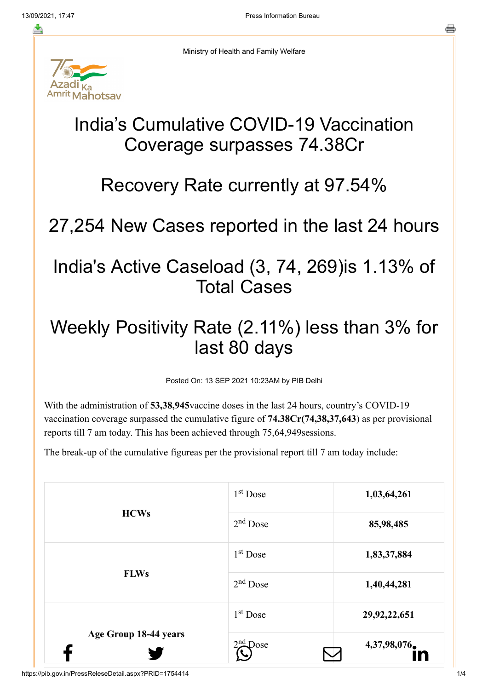

Ministry of Health and Family Welfare

# India's Cumulative COVID-19 Vaccination Coverage surpasses 74.38Cr

#### Recovery Rate currently at 97.54%

# 27,254 New Cases reported in the last 24 hours

### India's Active Caseload (3, 74, 269)is 1.13% of Total Cases

## Weekly Positivity Rate (2.11%) less than 3% for last 80 days

Posted On: 13 SEP 2021 10:23AM by PIB Delhi

With the administration of **53,38,945**vaccine doses in the last 24 hours, country's COVID-19 vaccination coverage surpassed the cumulative figure of **74.38Cr(74,38,37,643**) as per provisional reports till 7 am today. This has been achieved through 75,64,949sessions.

The break-up of the cumulative figureas per the provisional report till 7 am today include:

|                            | $1st$ Dose           | 1,03,64,261     |
|----------------------------|----------------------|-----------------|
| <b>HCWs</b><br><b>FLWs</b> | $2nd$ Dose           | 85,98,485       |
|                            | $1st$ Dose           | 1,83,37,884     |
|                            | $2nd$ Dose           | 1,40,44,281     |
| Age Group 18-44 years      | 1 <sup>st</sup> Dose | 29, 92, 22, 651 |
|                            | $2nd$ Dose           | 4,37,98,076     |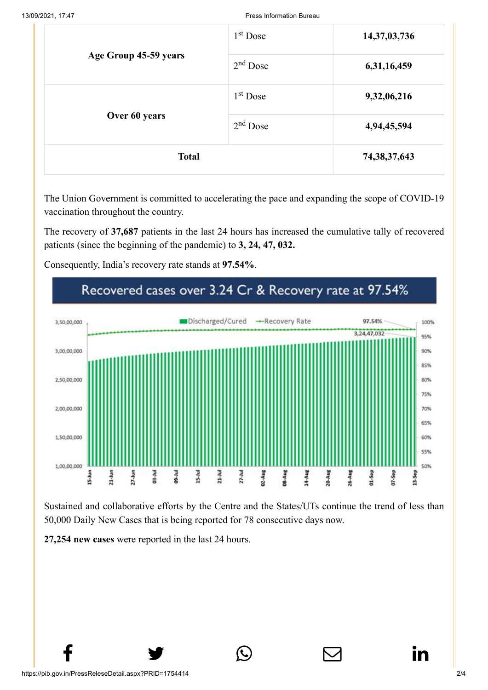|                                        | $1st$ Dose | 14,37,03,736    |
|----------------------------------------|------------|-----------------|
| Age Group 45-59 years<br>Over 60 years | $2nd$ Dose | 6,31,16,459     |
|                                        | $1st$ Dose | 9,32,06,216     |
|                                        | $2nd$ Dose | 4,94,45,594     |
| <b>Total</b>                           |            | 74, 38, 37, 643 |

The Union Government is committed to accelerating the pace and expanding the scope of COVID-19 vaccination throughout the country.

The recovery of **37,687** patients in the last 24 hours has increased the cumulative tally of recovered patients (since the beginning of the pandemic) to **3, 24, 47, 032.**

Consequently, India's recovery rate stands at **97.54%**.



Sustained and collaborative efforts by the Centre and the States/UTs continue the trend of less than 50,000 Daily New Cases that is being reported for 78 consecutive days now.

 $f$  y  $\circledcirc$   $\quad \circledcirc$  in

**27,254 new cases** were reported in the last 24 hours.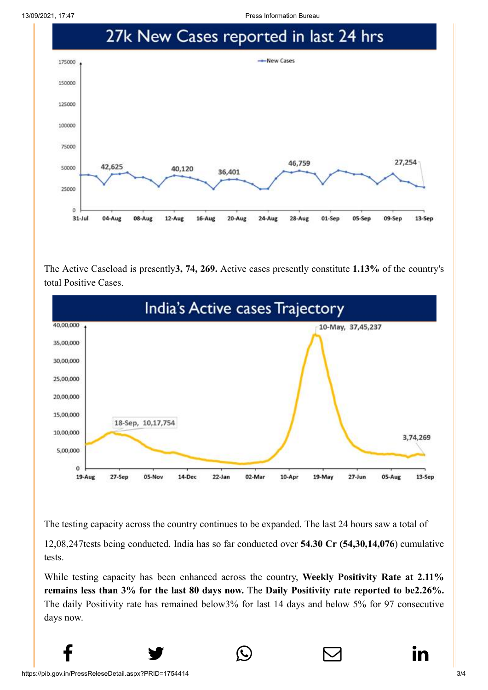13/09/2021, 17:47 Press Information Bureau



The Active Caseload is presently**3, 74, 269.** Active cases presently constitute **1.13%** of the country's total Positive Cases.



The testing capacity across the country continues to be expanded. The last 24 hours saw a total of

12,08,247tests being conducted. India has so far conducted over **54.30 Cr (54,30,14,076**) cumulative tests.

While testing capacity has been enhanced across the country, **Weekly Positivity Rate at 2.11% remains less than 3% for the last 80 days now.** The **Daily Positivity rate reported to be2.26%.** The daily Positivity rate has remained below3% for last 14 days and below 5% for 97 consecutive days now.

 $f$  y  $\circledcirc$   $\quad \circledcirc$  in